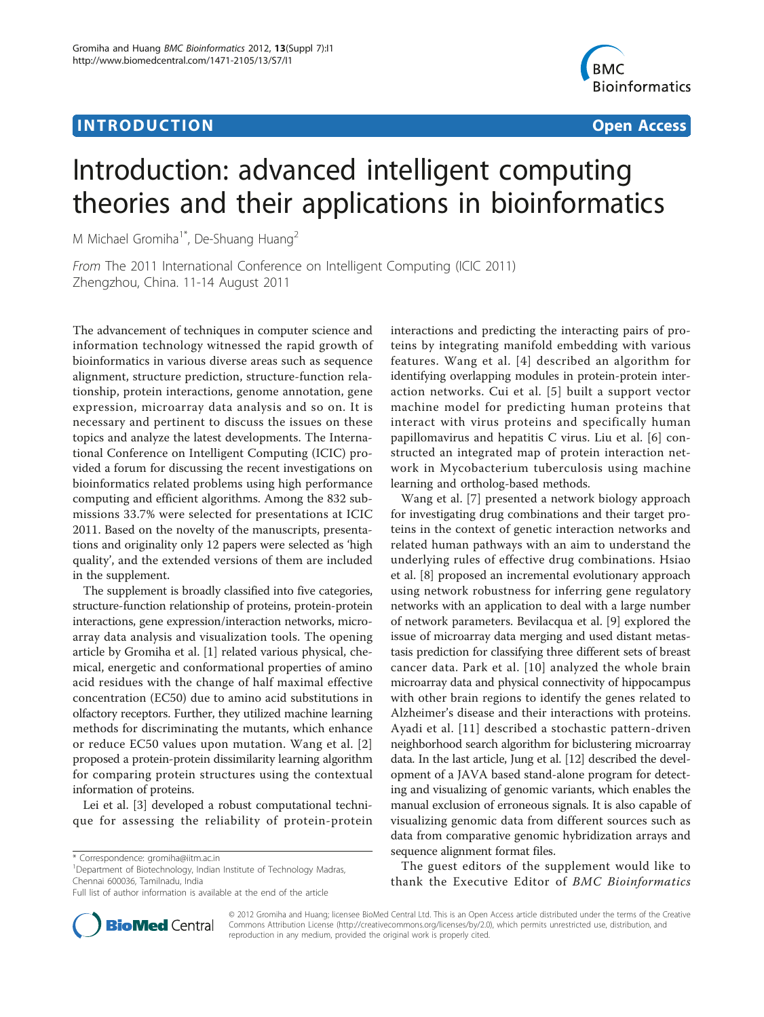## **INTRODUCTION CONSUMING THE CONSUMING TEACHER CONSUMING THE CONSUMING TEACHER CONSUMING THE CONSUMING TEACHER CONSUMING THE CONSUMING TEACHER CONSUMING THE CONSUMING THE CONSUMING THE CONSUMING THE CONSUMING THE CONSUMIN**



# Introduction: advanced intelligent computing theories and their applications in bioinformatics

M Michael Gromiha<sup>1\*</sup>, De-Shuang Huang<sup>2</sup>

From The 2011 International Conference on Intelligent Computing (ICIC 2011) Zhengzhou, China. 11-14 August 2011

The advancement of techniques in computer science and information technology witnessed the rapid growth of bioinformatics in various diverse areas such as sequence alignment, structure prediction, structure-function relationship, protein interactions, genome annotation, gene expression, microarray data analysis and so on. It is necessary and pertinent to discuss the issues on these topics and analyze the latest developments. The International Conference on Intelligent Computing (ICIC) provided a forum for discussing the recent investigations on bioinformatics related problems using high performance computing and efficient algorithms. Among the 832 submissions 33.7% were selected for presentations at ICIC 2011. Based on the novelty of the manuscripts, presentations and originality only 12 papers were selected as 'high quality', and the extended versions of them are included in the supplement.

The supplement is broadly classified into five categories, structure-function relationship of proteins, protein-protein interactions, gene expression/interaction networks, microarray data analysis and visualization tools. The opening article by Gromiha et al. [[1\]](#page-1-0) related various physical, chemical, energetic and conformational properties of amino acid residues with the change of half maximal effective concentration (EC50) due to amino acid substitutions in olfactory receptors. Further, they utilized machine learning methods for discriminating the mutants, which enhance or reduce EC50 values upon mutation. Wang et al. [[2](#page-1-0)] proposed a protein-protein dissimilarity learning algorithm for comparing protein structures using the contextual information of proteins.

Lei et al. [[3\]](#page-1-0) developed a robust computational technique for assessing the reliability of protein-protein



Wang et al. [[7](#page-1-0)] presented a network biology approach for investigating drug combinations and their target proteins in the context of genetic interaction networks and related human pathways with an aim to understand the underlying rules of effective drug combinations. Hsiao et al. [[8\]](#page-1-0) proposed an incremental evolutionary approach using network robustness for inferring gene regulatory networks with an application to deal with a large number of network parameters. Bevilacqua et al. [[9\]](#page-1-0) explored the issue of microarray data merging and used distant metastasis prediction for classifying three different sets of breast cancer data. Park et al. [[10](#page-1-0)] analyzed the whole brain microarray data and physical connectivity of hippocampus with other brain regions to identify the genes related to Alzheimer's disease and their interactions with proteins. Ayadi et al. [[11](#page-1-0)] described a stochastic pattern-driven neighborhood search algorithm for biclustering microarray data. In the last article, Jung et al. [\[12](#page-1-0)] described the development of a JAVA based stand-alone program for detecting and visualizing of genomic variants, which enables the manual exclusion of erroneous signals. It is also capable of visualizing genomic data from different sources such as data from comparative genomic hybridization arrays and sequence alignment format files.

The guest editors of the supplement would like to thank the Executive Editor of BMC Bioinformatics



© 2012 Gromiha and Huang; licensee BioMed Central Ltd. This is an Open Access article distributed under the terms of the Creative Commons Attribution License [\(http://creativecommons.org/licenses/by/2.0](http://creativecommons.org/licenses/by/2.0)), which permits unrestricted use, distribution, and reproduction in any medium, provided the original work is properly cited.

<sup>\*</sup> Correspondence: [gromiha@iitm.ac.in](mailto:gromiha@iitm.ac.in)

<sup>&</sup>lt;sup>1</sup>Department of Biotechnology, Indian Institute of Technology Madras, Chennai 600036, Tamilnadu, India

Full list of author information is available at the end of the article